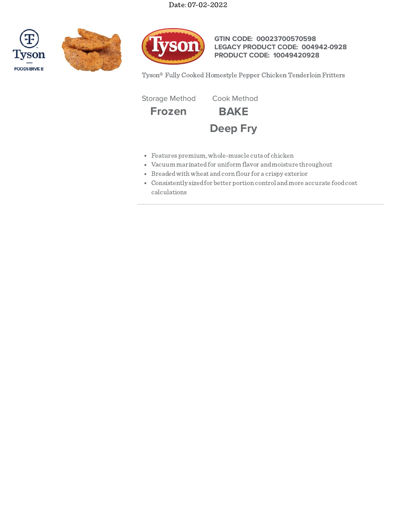





**GTIN CODE: 00023700570598 LEGACY PRODUCT CODE: 004942-0928 PRODUCT CODE: 10049420928**

Tyson® Fully Cooked Homestyle Pepper Chicken Tenderloin Fritters

Storage Method Cook Method

**Frozen BAKE**



- Features premium,whole-muscle cuts of chicken
- Vacuum marinatedfor uniform flavor andmoisture throughout
- Breadedwith wheat andcorn flour for a crispy exterior
- Consistently sizedfor better portion control andmore accurate foodcost calculations